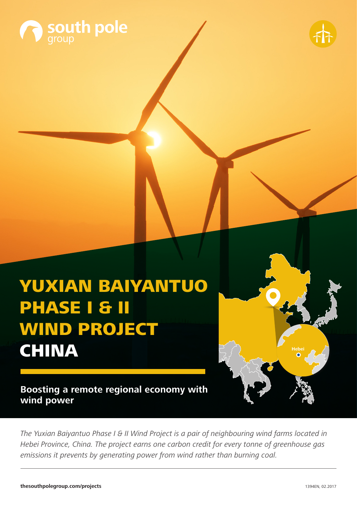



## YUXIAN BAIYANTUO PHASE I & II WIND PROJECT **CHINA**



**Boosting a remote regional economy with wind power**

The Yuxian Baiyantuo Phase I & II Wind Project is a pair of neighbouring wind farms located in Hebei Province, China. The project earns one carbon credit for every tonne of greenhouse gas emissions it prevents by generating power from wind rather than burning coal.